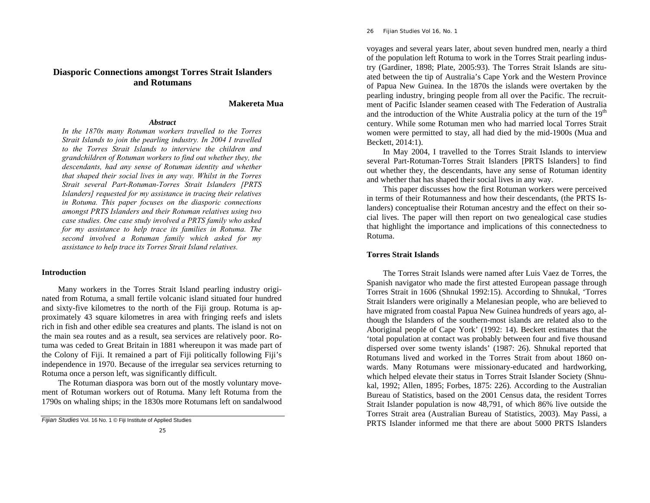# **Diasporic Connections amongst Torres Strait Islanders and Rotumans**

# **Makereta Mua**

## *Abstract*

*In the 1870s many Rotuman workers travelled to the Torres Strait Islands to join the pearling industry. In 2004 I travelled to the Torres Strait Islands to interview the children and grandchildren of Rotuman workers to find out whether they, the descendants, had any sense of Rotuman identity and whether that shaped their social lives in any way. Whilst in the Torres Strait several Part-Rotuman-Torres Strait Islanders [PRTS Islanders] requested for my assistance in tracing their relatives in Rotuma. This paper focuses on the diasporic connections amongst PRTS Islanders and their Rotuman relatives using two case studies. One case study involved a PRTS family who asked for my assistance to help trace its families in Rotuma. The second involved a Rotuman family which asked for my assistance to help trace its Torres Strait Island relatives.* 

## **Introduction**

Many workers in the Torres Strait Island pearling industry originated from Rotuma, a small fertile volcanic island situated four hundred and sixty-five kilometres to the north of the Fiji group. Rotuma is approximately 43 square kilometres in area with fringing reefs and islets rich in fish and other edible sea creatures and plants. The island is not on the main sea routes and as a result, sea services are relatively poor. Rotuma was ceded to Great Britain in 1881 whereupon it was made part of the Colony of Fiji. It remained a part of Fiji politically following Fiji's independence in 1970. Because of the irregular sea services returning to Rotuma once a person left, was significantly difficult.

The Rotuman diaspora was born out of the mostly voluntary movement of Rotuman workers out of Rotuma. Many left Rotuma from the 1790s on whaling ships; in the 1830s more Rotumans left on sandalwood

26 *Fijian Studies Vol 16, No. 1* 

voyages and several years later, about seven hundred men, nearly a third of the population left Rotuma to work in the Torres Strait pearling industry (Gardiner, 1898; Plate, 2005:93). The Torres Strait Islands are situated between the tip of Australia's Cape York and the Western Province of Papua New Guinea. In the 1870s the islands were overtaken by the pearling industry, bringing people from all over the Pacific. The recruitment of Pacific Islander seamen ceased with The Federation of Australia and the introduction of the White Australia policy at the turn of the  $19<sup>th</sup>$ century. While some Rotuman men who had married local Torres Strait women were permitted to stay, all had died by the mid-1900s (Mua and Beckett, 2014:1).

In May 2004, I travelled to the Torres Strait Islands to interview several Part-Rotuman-Torres Strait Islanders [PRTS Islanders] to find out whether they, the descendants, have any sense of Rotuman identity and whether that has shaped their social lives in any way.

This paper discusses how the first Rotuman workers were perceived in terms of their Rotumanness and how their descendants, (the PRTS Islanders) conceptualise their Rotuman ancestry and the effect on their social lives. The paper will then report on two genealogical case studies that highlight the importance and implications of this connectedness to Rotuma.

## **Torres Strait Islands**

The Torres Strait Islands were named after Luis Vaez de Torres, the Spanish navigator who made the first attested European passage through Torres Strait in 1606 (Shnukal 1992:15). According to Shnukal, 'Torres Strait Islanders were originally a Melanesian people, who are believed to have migrated from coastal Papua New Guinea hundreds of years ago, although the Islanders of the southern-most islands are related also to the Aboriginal people of Cape York' (1992: 14). Beckett estimates that the 'total population at contact was probably between four and five thousand dispersed over some twenty islands' (1987: 26). Shnukal reported that Rotumans lived and worked in the Torres Strait from about 1860 onwards. Many Rotumans were missionary-educated and hardworking, which helped elevate their status in Torres Strait Islander Society (Shnukal, 1992; Allen, 1895; Forbes, 1875: 226). According to the Australian Bureau of Statistics, based on the 2001 Census data, the resident Torres Strait Islander population is now 48,791, of which 86% live outside the Torres Strait area (Australian Bureau of Statistics, 2003). May Passi, a PRTS Islander informed me that there are about 5000 PRTS Islanders

*Fijian Studies* Vol. 16 No. 1 © Fiji Institute of Applied Studies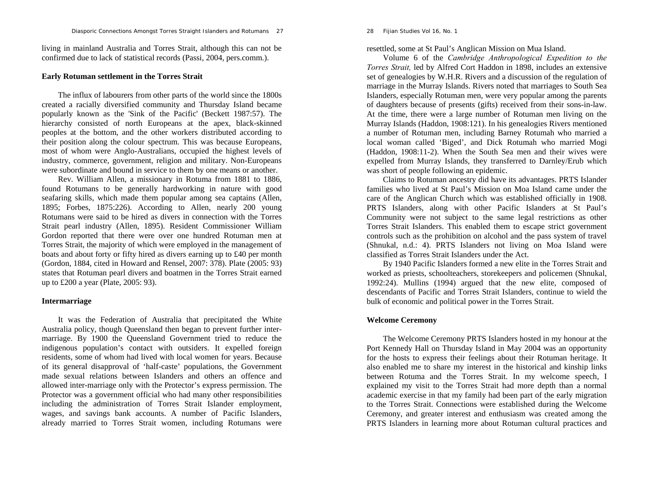living in mainland Australia and Torres Strait, although this can not be confirmed due to lack of statistical records (Passi, 2004, pers.comm.).

#### **Early Rotuman settlement in the Torres Strait**

The influx of labourers from other parts of the world since the 1800s created a racially diversified community and Thursday Island became popularly known as the 'Sink of the Pacific' (Beckett 1987:57). The hierarchy consisted of north Europeans at the apex, black-skinned peoples at the bottom, and the other workers distributed according to their position along the colour spectrum. This was because Europeans, most of whom were Anglo-Australians, occupied the highest levels of industry, commerce, government, religion and military. Non-Europeans were subordinate and bound in service to them by one means or another.

Rev. William Allen, a missionary in Rotuma from 1881 to 1886, found Rotumans to be generally hardworking in nature with good seafaring skills, which made them popular among sea captains (Allen, 1895; Forbes, 1875:226). According to Allen, nearly 200 young Rotumans were said to be hired as divers in connection with the Torres Strait pearl industry (Allen, 1895). Resident Commissioner William Gordon reported that there were over one hundred Rotuman men at Torres Strait, the majority of which were employed in the management of boats and about forty or fifty hired as divers earning up to £40 per month (Gordon, 1884, cited in Howard and Rensel, 2007: 378). Plate (2005: 93) states that Rotuman pearl divers and boatmen in the Torres Strait earned up to £200 a year (Plate, 2005: 93).

## **Intermarriage**

It was the Federation of Australia that precipitated the White Australia policy, though Queensland then began to prevent further intermarriage. By 1900 the Queensland Government tried to reduce the indigenous population's contact with outsiders. It expelled foreign residents, some of whom had lived with local women for years. Because of its general disapproval of 'half-caste' populations, the Government made sexual relations between Islanders and others an offence and allowed inter-marriage only with the Protector's express permission. The Protector was a government official who had many other responsibilities including the administration of Torres Strait Islander employment, wages, and savings bank accounts. A number of Pacific Islanders, already married to Torres Strait women, including Rotumans were 28 *Fijian Studies Vol 16, No. 1* 

resettled, some at St Paul's Anglican Mission on Mua Island.

Volume 6 of the *Cambridge Anthropological Expedition to the Torres Strait,* led by Alfred Cort Haddon in 1898, includes an extensive set of genealogies by W.H.R. Rivers and a discussion of the regulation of marriage in the Murray Islands. Rivers noted that marriages to South Sea Islanders, especially Rotuman men, were very popular among the parents of daughters because of presents (gifts) received from their sons-in-law. At the time, there were a large number of Rotuman men living on the Murray Islands (Haddon, 1908:121). In his genealogies Rivers mentioned a number of Rotuman men, including Barney Rotumah who married a local woman called 'Biged', and Dick Rotumah who married Mogi (Haddon, 1908:11-2). When the South Sea men and their wives were expelled from Murray Islands, they transferred to Darnley/Erub which was short of people following an epidemic.

Claims to Rotuman ancestry did have its advantages. PRTS Islander families who lived at St Paul's Mission on Moa Island came under the care of the Anglican Church which was established officially in 1908. PRTS Islanders, along with other Pacific Islanders at St Paul's Community were not subject to the same legal restrictions as other Torres Strait Islanders. This enabled them to escape strict government controls such as the prohibition on alcohol and the pass system of travel (Shnukal, n.d.: 4). PRTS Islanders not living on Moa Island were classified as Torres Strait Islanders under the Act.

By 1940 Pacific Islanders formed a new elite in the Torres Strait and worked as priests, schoolteachers, storekeepers and policemen (Shnukal, 1992:24). Mullins (1994) argued that the new elite, composed of descendants of Pacific and Torres Strait Islanders, continue to wield the bulk of economic and political power in the Torres Strait.

## **Welcome Ceremony**

The Welcome Ceremony PRTS Islanders hosted in my honour at the Port Kennedy Hall on Thursday Island in May 2004 was an opportunity for the hosts to express their feelings about their Rotuman heritage. It also enabled me to share my interest in the historical and kinship links between Rotuma and the Torres Strait. In my welcome speech, I explained my visit to the Torres Strait had more depth than a normal academic exercise in that my family had been part of the early migration to the Torres Strait. Connections were established during the Welcome Ceremony, and greater interest and enthusiasm was created among the PRTS Islanders in learning more about Rotuman cultural practices and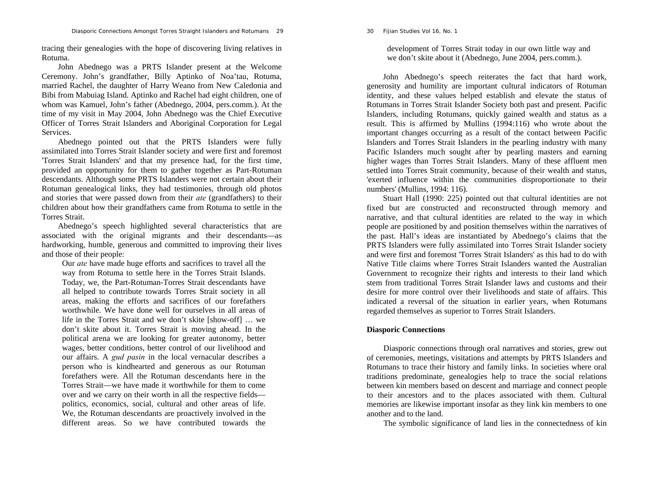30 *Fijian Studies Vol 16, No. 1* 

tracing their genealogies with the hope of discovering living relatives in Rotuma.

John Abednego was a PRTS Islander present at the Welcome Ceremony. John's grandfather, Billy Aptinko of Noa'tau, Rotuma, married Rachel, the daughter of Harry Weano from New Caledonia and Bibi from Mabuiag Island. Aptinko and Rachel had eight children, one of whom was Kamuel, John's father (Abednego, 2004, pers.comm.). At the time of my visit in May 2004, John Abednego was the Chief Executive Officer of Torres Strait Islanders and Aboriginal Corporation for Legal Services.

Abednego pointed out that the PRTS Islanders were fully assimilated into Torres Strait Islander society and were first and foremost 'Torres Strait Islanders' and that my presence had, for the first time, provided an opportunity for them to gather together as Part-Rotuman descendants. Although some PRTS Islanders were not certain about their Rotuman genealogical links, they had testimonies, through old photos and stories that were passed down from their *ate* (grandfathers) to their children about how their grandfathers came from Rotuma to settle in the Torres Strait.

Abednego's speech highlighted several characteristics that are associated with the original migrants and their descendants—as hardworking, humble, generous and committed to improving their lives and those of their people:

Our *ate* have made huge efforts and sacrifices to travel all the way from Rotuma to settle here in the Torres Strait Islands. Today, we, the Part-Rotuman-Torres Strait descendants have all helped to contribute towards Torres Strait society in all areas, making the efforts and sacrifices of our forefathers worthwhile. We have done well for ourselves in all areas of life in the Torres Strait and we don't skite [show-off] … we don't skite about it. Torres Strait is moving ahead. In the political arena we are looking for greater autonomy, better wages, better conditions, better control of our livelihood and our affairs. A *gud pasin* in the local vernacular describes a person who is kindhearted and generous as our Rotuman forefathers were. All the Rotuman descendants here in the Torres Strait—we have made it worthwhile for them to come over and we carry on their worth in all the respective fields politics, economics, social, cultural and other areas of life. We, the Rotuman descendants are proactively involved in the different areas. So we have contributed towards the

development of Torres Strait today in our own little way and we don't skite about it (Abednego, June 2004, pers.comm.).

John Abednego's speech reiterates the fact that hard work, generosity and humility are important cultural indicators of Rotuman identity, and these values helped establish and elevate the status of Rotumans in Torres Strait Islander Society both past and present. Pacific Islanders, including Rotumans, quickly gained wealth and status as a result. This is affirmed by Mullins (1994:116) who wrote about the important changes occurring as a result of the contact between Pacific Islanders and Torres Strait Islanders in the pearling industry with many Pacific Islanders much sought after by pearling masters and earning higher wages than Torres Strait Islanders. Many of these affluent men settled into Torres Strait community, because of their wealth and status, 'exerted influence within the communities disproportionate to their numbers' (Mullins, 1994: 116).

Stuart Hall (1990: 225) pointed out that cultural identities are not fixed but are constructed and reconstructed through memory and narrative, and that cultural identities are related to the way in which people are positioned by and position themselves within the narratives of the past. Hall's ideas are instantiated by Abednego's claims that the PRTS Islanders were fully assimilated into Torres Strait Islander society and were first and foremost 'Torres Strait Islanders' as this had to do with Native Title claims where Torres Strait Islanders wanted the Australian Government to recognize their rights and interests to their land which stem from traditional Torres Strait Islander laws and customs and their desire for more control over their livelihoods and state of affairs. This indicated a reversal of the situation in earlier years, when Rotumans regarded themselves as superior to Torres Strait Islanders.

#### **Diasporic Connections**

 Diasporic connections through oral narratives and stories, grew out of ceremonies, meetings, visitations and attempts by PRTS Islanders and Rotumans to trace their history and family links. In societies where oral traditions predominate, genealogies help to trace the social relations between kin members based on descent and marriage and connect people to their ancestors and to the places associated with them. Cultural memories are likewise important insofar as they link kin members to one another and to the land.

The symbolic significance of land lies in the connectedness of kin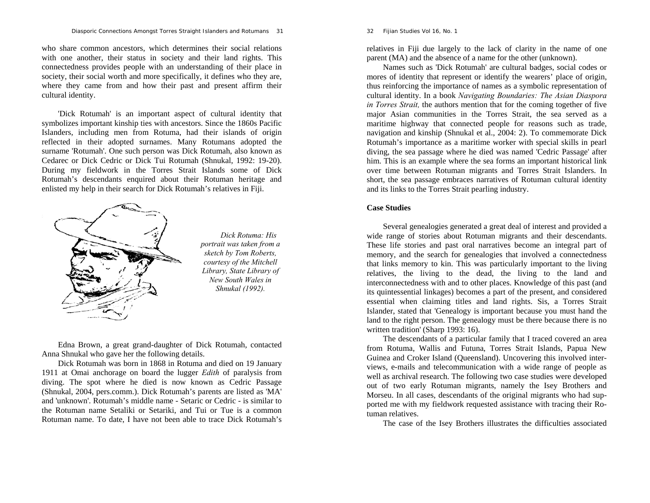who share common ancestors, which determines their social relations with one another, their status in society and their land rights. This connectedness provides people with an understanding of their place in society, their social worth and more specifically, it defines who they are, where they came from and how their past and present affirm their cultural identity.

'Dick Rotumah' is an important aspect of cultural identity that symbolizes important kinship ties with ancestors. Since the 1860s Pacific Islanders, including men from Rotuma, had their islands of origin reflected in their adopted surnames. Many Rotumans adopted the surname 'Rotumah'. One such person was Dick Rotumah, also known as Cedarec or Dick Cedric or Dick Tui Rotumah (Shnukal, 1992: 19-20). During my fieldwork in the Torres Strait Islands some of Dick Rotumah's descendants enquired about their Rotuman heritage and enlisted my help in their search for Dick Rotumah's relatives in Fiji.



*Dick Rotuma: His portrait was taken from a sketch by Tom Roberts, courtesy of the Mitchell Library, State Library of New South Wales in Shnukal (1992).* 

Edna Brown, a great grand-daughter of Dick Rotumah, contacted Anna Shnukal who gave her the following details.

Dick Rotumah was born in 1868 in Rotuma and died on 19 January 1911 at Omai anchorage on board the lugger *Edith* of paralysis from diving. The spot where he died is now known as Cedric Passage (Shnukal, 2004, pers.comm.). Dick Rotumah's parents are listed as 'MA' and 'unknown'. Rotumah's middle name - Setaric or Cedric - is similar to the Rotuman name Setaliki or Setariki, and Tui or Tue is a common Rotuman name. To date, I have not been able to trace Dick Rotumah's 32 *Fijian Studies Vol 16, No. 1* 

relatives in Fiji due largely to the lack of clarity in the name of one parent (MA) and the absence of a name for the other (unknown).

Names such as 'Dick Rotumah' are cultural badges, social codes or mores of identity that represent or identify the wearers' place of origin, thus reinforcing the importance of names as a symbolic representation of cultural identity. In a book *Navigating Boundaries: The Asian Diaspora in Torres Strait,* the authors mention that for the coming together of five major Asian communities in the Torres Strait, the sea served as a maritime highway that connected people for reasons such as trade, navigation and kinship (Shnukal et al., 2004: 2). To commemorate Dick Rotumah's importance as a maritime worker with special skills in pearl diving, the sea passage where he died was named 'Cedric Passage' after him. This is an example where the sea forms an important historical link over time between Rotuman migrants and Torres Strait Islanders. In short, the sea passage embraces narratives of Rotuman cultural identity and its links to the Torres Strait pearling industry.

## **Case Studies**

Several genealogies generated a great deal of interest and provided a wide range of stories about Rotuman migrants and their descendants. These life stories and past oral narratives become an integral part of memory, and the search for genealogies that involved a connectedness that links memory to kin. This was particularly important to the living relatives, the living to the dead, the living to the land and interconnectedness with and to other places. Knowledge of this past (and its quintessential linkages) becomes a part of the present, and considered essential when claiming titles and land rights. Sis, a Torres Strait Islander, stated that 'Genealogy is important because you must hand the land to the right person. The genealogy must be there because there is no written tradition' (Sharp 1993: 16).

The descendants of a particular family that I traced covered an area from Rotuma, Wallis and Futuna, Torres Strait Islands, Papua New Guinea and Croker Island (Queensland). Uncovering this involved interviews, e-mails and telecommunication with a wide range of people as well as archival research. The following two case studies were developed out of two early Rotuman migrants, namely the Isey Brothers and Morseu. In all cases, descendants of the original migrants who had supported me with my fieldwork requested assistance with tracing their Rotuman relatives.

The case of the Isey Brothers illustrates the difficulties associated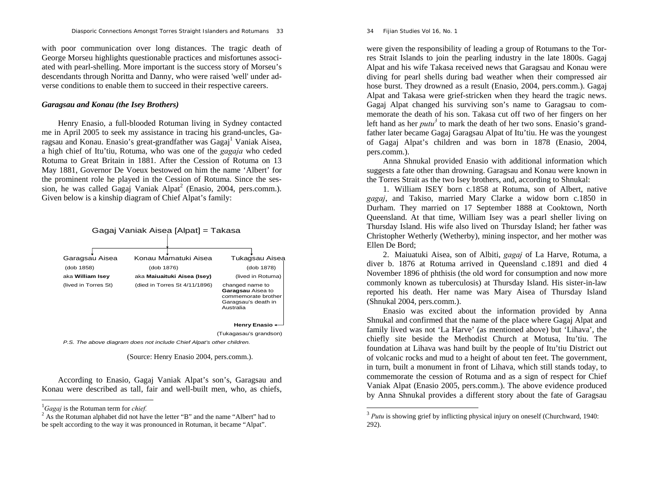with poor communication over long distances. The tragic death of George Morseu highlights questionable practices and misfortunes associated with pearl-shelling. More important is the success story of Morseu's descendants through Noritta and Danny, who were raised 'well' under adverse conditions to enable them to succeed in their respective careers.

## *Garagsau and Konau (the Isey Brothers)*

Henry Enasio, a full-blooded Rotuman living in Sydney contacted me in April 2005 to seek my assistance in tracing his grand-uncles, Garagsau and Konau. Enasio's great-grandfather was Gagaj<sup>1</sup> Vaniak Aisea, a high chief of Itu'tiu, Rotuma, who was one of the *gagaja* who ceded Rotuma to Great Britain in 1881. After the Cession of Rotuma on 13 May 1881, Governor De Voeux bestowed on him the name 'Albert' for the prominent role he played in the Cession of Rotuma. Since the session, he was called Gagaj Vaniak Alpat<sup>2</sup> (Enasio, 2004, pers.comm.). Given below is a kinship diagram of Chief Alpat's family:



(Source: Henry Enasio 2004, pers.comm.).

According to Enasio, Gagaj Vaniak Alpat's son's, Garagsau and Konau were described as tall, fair and well-built men, who, as chiefs, 34 *Fijian Studies Vol 16, No. 1* 

were given the responsibility of leading a group of Rotumans to the Torres Strait Islands to join the pearling industry in the late 1800s. Gagaj Alpat and his wife Takasa received news that Garagsau and Konau were diving for pearl shells during bad weather when their compressed air hose burst. They drowned as a result (Enasio, 2004, pers.comm.). Gagaj Alpat and Takasa were grief-stricken when they heard the tragic news. Gagaj Alpat changed his surviving son's name to Garagsau to commemorate the death of his son. Takasa cut off two of her fingers on her left hand as her *putu*<sup>3</sup> to mark the death of her two sons. Enasio's grandfather later became Gagaj Garagsau Alpat of Itu'tiu. He was the youngest of Gagaj Alpat's children and was born in 1878 (Enasio, 2004, pers.comm.).

Anna Shnukal provided Enasio with additional information which suggests a fate other than drowning. Garagsau and Konau were known in the Torres Strait as the two Isey brothers, and, according to Shnukal:

1. William ISEY born c.1858 at Rotuma, son of Albert, native *gagaj*, and Takiso, married Mary Clarke a widow born c.1850 in Durham. They married on 17 September 1888 at Cooktown, North Queensland. At that time, William Isey was a pearl sheller living on Thursday Island. His wife also lived on Thursday Island; her father was Christopher Wetherly (Wetherby), mining inspector, and her mother was Ellen De Bord;

2. Maiuatuki Aisea, son of Albiti, *gagaj* of La Harve, Rotuma, a diver b. 1876 at Rotuma arrived in Queensland c.1891 and died 4 November 1896 of phthisis (the old word for consumption and now more commonly known as tuberculosis) at Thursday Island. His sister-in-law reported his death. Her name was Mary Aisea of Thursday Island (Shnukal 2004, pers.comm.).

Enasio was excited about the information provided by Anna Shnukal and confirmed that the name of the place where Gagaj Alpat and family lived was not 'La Harve' (as mentioned above) but 'Lihava', the chiefly site beside the Methodist Church at Motusa, Itu'tiu. The foundation at Lihava was hand built by the people of Itu'tiu District out of volcanic rocks and mud to a height of about ten feet. The government, in turn, built a monument in front of Lihava, which still stands today, to commemorate the cession of Rotuma and as a sign of respect for Chief Vaniak Alpat (Enasio 2005, pers.comm.). The above evidence produced by Anna Shnukal provides a different story about the fate of Garagsau

<sup>1</sup>*Gagaj* is the Rotuman term for *chief.*

<sup>&</sup>lt;sup>2</sup> As the Rotuman alphabet did not have the letter "B" and the name "Albert" had to be spelt according to the way it was pronounced in Rotuman, it became "Alpat".

<sup>&</sup>lt;sup>3</sup> Putu is showing grief by inflicting physical injury on oneself (Churchward, 1940: 292).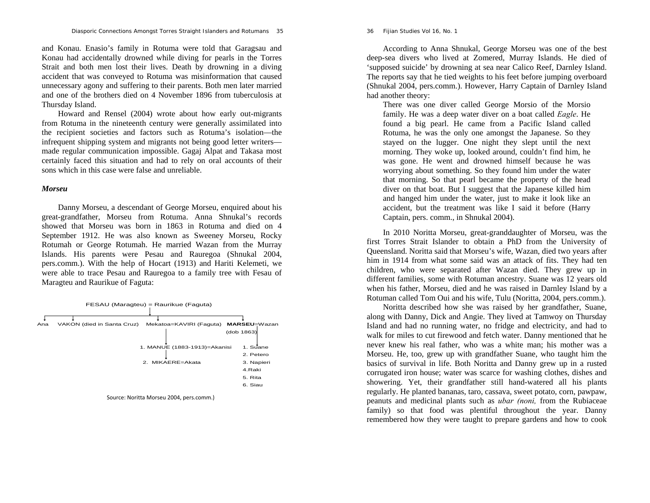36 *Fijian Studies Vol 16, No. 1* 

and Konau. Enasio's family in Rotuma were told that Garagsau and Konau had accidentally drowned while diving for pearls in the Torres Strait and both men lost their lives. Death by drowning in a diving accident that was conveyed to Rotuma was misinformation that caused unnecessary agony and suffering to their parents. Both men later married and one of the brothers died on 4 November 1896 from tuberculosis at Thursday Island.

Howard and Rensel (2004) wrote about how early out-migrants from Rotuma in the nineteenth century were generally assimilated into the recipient societies and factors such as Rotuma's isolation—the infrequent shipping system and migrants not being good letter writers made regular communication impossible. Gagaj Alpat and Takasa most certainly faced this situation and had to rely on oral accounts of their sons which in this case were false and unreliable.

#### *Morseu*

Danny Morseu, a descendant of George Morseu, enquired about his great-grandfather, Morseu from Rotuma. Anna Shnukal's records showed that Morseu was born in 1863 in Rotuma and died on 4 September 1912. He was also known as Sweeney Morseu, Rocky Rotumah or George Rotumah. He married Wazan from the Murray Islands. His parents were Pesau and Rauregoa (Shnukal 2004, pers.comm.). With the help of Hocart (1913) and Hariti Kelemeti, we were able to trace Pesau and Rauregoa to a family tree with Fesau of Maragteu and Raurikue of Faguta:



Source: Noritta Morseu 2004, pers.comm.)

According to Anna Shnukal, George Morseu was one of the best deep-sea divers who lived at Zomered, Murray Islands. He died of 'supposed suicide' by drowning at sea near Calico Reef, Darnley Island. The reports say that he tied weights to his feet before jumping overboard (Shnukal 2004, pers.comm.). However, Harry Captain of Darnley Island had another theory:

There was one diver called George Morsio of the Morsio family. He was a deep water diver on a boat called *Eagle*. He found a big pearl. He came from a Pacific Island called Rotuma, he was the only one amongst the Japanese. So they stayed on the lugger. One night they slept until the next morning. They woke up, looked around, couldn't find him, he was gone. He went and drowned himself because he was worrying about something. So they found him under the water that morning. So that pearl became the property of the head diver on that boat. But I suggest that the Japanese killed him and hanged him under the water, just to make it look like an accident, but the treatment was like I said it before (Harry Captain, pers. comm., in Shnukal 2004).

In 2010 Noritta Morseu, great-granddaughter of Morseu, was the first Torres Strait Islander to obtain a PhD from the University of Queensland. Noritta said that Morseu's wife, Wazan, died two years after him in 1914 from what some said was an attack of fits. They had ten children, who were separated after Wazan died. They grew up in different families, some with Rotuman ancestry. Suane was 12 years old when his father, Morseu, died and he was raised in Darnley Island by a Rotuman called Tom Oui and his wife, Tulu (Noritta, 2004, pers.comm.).

Noritta described how she was raised by her grandfather, Suane, along with Danny, Dick and Angie. They lived at Tamwoy on Thursday Island and had no running water, no fridge and electricity, and had to walk for miles to cut firewood and fetch water. Danny mentioned that he never knew his real father, who was a white man; his mother was a Morseu. He, too, grew up with grandfather Suane, who taught him the basics of survival in life. Both Noritta and Danny grew up in a rusted corrugated iron house; water was scarce for washing clothes, dishes and showering. Yet, their grandfather still hand-watered all his plants regularly. He planted bananas, taro, cassava, sweet potato, corn, pawpaw, peanuts and medicinal plants such as *ubar (noni,* from the Rubiaceae family) so that food was plentiful throughout the year. Danny remembered how they were taught to prepare gardens and how to cook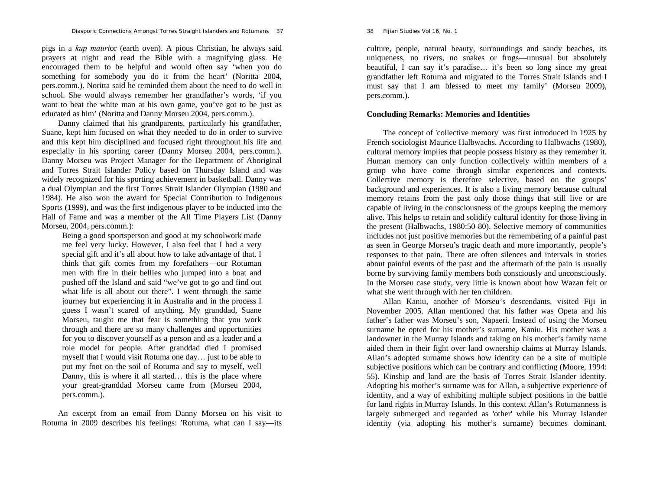pigs in a *kup mauri*or (earth oven). A pious Christian, he always said prayers at night and read the Bible with a magnifying glass. He encouraged them to be helpful and would often say 'when you do something for somebody you do it from the heart' (Noritta 2004, pers.comm.). Noritta said he reminded them about the need to do well in school. She would always remember her grandfather's words, 'if you want to beat the white man at his own game, you've got to be just as educated as him' (Noritta and Danny Morseu 2004, pers.comm.).

Danny claimed that his grandparents, particularly his grandfather, Suane, kept him focused on what they needed to do in order to survive and this kept him disciplined and focused right throughout his life and especially in his sporting career (Danny Morseu 2004, pers.comm.). Danny Morseu was Project Manager for the Department of Aboriginal and Torres Strait Islander Policy based on Thursday Island and was widely recognized for his sporting achievement in basketball. Danny was a dual Olympian and the first Torres Strait Islander Olympian (1980 and 1984). He also won the award for Special Contribution to Indigenous Sports (1999), and was the first indigenous player to be inducted into the Hall of Fame and was a member of the All Time Players List (Danny Morseu, 2004, pers.comm.):

Being a good sportsperson and good at my schoolwork made me feel very lucky. However, I also feel that I had a very special gift and it's all about how to take advantage of that. I think that gift comes from my forefathers—our Rotuman men with fire in their bellies who jumped into a boat and pushed off the Island and said "we've got to go and find out what life is all about out there". I went through the same journey but experiencing it in Australia and in the process I guess I wasn't scared of anything. My granddad, Suane Morseu, taught me that fear is something that you work through and there are so many challenges and opportunities for you to discover yourself as a person and as a leader and a role model for people. After granddad died I promised myself that I would visit Rotuma one day… just to be able to put my foot on the soil of Rotuma and say to myself, well Danny, this is where it all started… this is the place where your great-granddad Morseu came from (Morseu 2004, pers.comm.).

An excerpt from an email from Danny Morseu on his visit to Rotuma in 2009 describes his feelings: 'Rotuma, what can I say—its

#### 38 *Fijian Studies Vol 16, No. 1*

culture, people, natural beauty, surroundings and sandy beaches, its uniqueness, no rivers, no snakes or frogs—unusual but absolutely beautiful, I can say it's paradise… it's been so long since my great grandfather left Rotuma and migrated to the Torres Strait Islands and I must say that I am blessed to meet my family' (Morseu 2009), pers.comm.).

## **Concluding Remarks: Memories and Identities**

The concept of 'collective memory' was first introduced in 1925 by French sociologist Maurice Halbwachs. According to Halbwachs (1980), cultural memory implies that people possess history as they remember it. Human memory can only function collectively within members of a group who have come through similar experiences and contexts. Collective memory is therefore selective, based on the groups' background and experiences. It is also a living memory because cultural memory retains from the past only those things that still live or are capable of living in the consciousness of the groups keeping the memory alive. This helps to retain and solidify cultural identity for those living in the present (Halbwachs, 1980:50-80). Selective memory of communities includes not just positive memories but the remembering of a painful past as seen in George Morseu's tragic death and more importantly, people's responses to that pain. There are often silences and intervals in stories about painful events of the past and the aftermath of the pain is usually borne by surviving family members both consciously and unconsciously. In the Morseu case study, very little is known about how Wazan felt or what she went through with her ten children.

Allan Kaniu, another of Morseu's descendants, visited Fiji in November 2005. Allan mentioned that his father was Opeta and his father's father was Morseu's son, Napaeri. Instead of using the Morseu surname he opted for his mother's surname, Kaniu. His mother was a landowner in the Murray Islands and taking on his mother's family name aided them in their fight over land ownership claims at Murray Islands. Allan's adopted surname shows how identity can be a site of multiple subjective positions which can be contrary and conflicting (Moore, 1994: 55). Kinship and land are the basis of Torres Strait Islander identity. Adopting his mother's surname was for Allan, a subjective experience of identity, and a way of exhibiting multiple subject positions in the battle for land rights in Murray Islands. In this context Allan's Rotumanness is largely submerged and regarded as 'other' while his Murray Islander identity (via adopting his mother's surname) becomes dominant.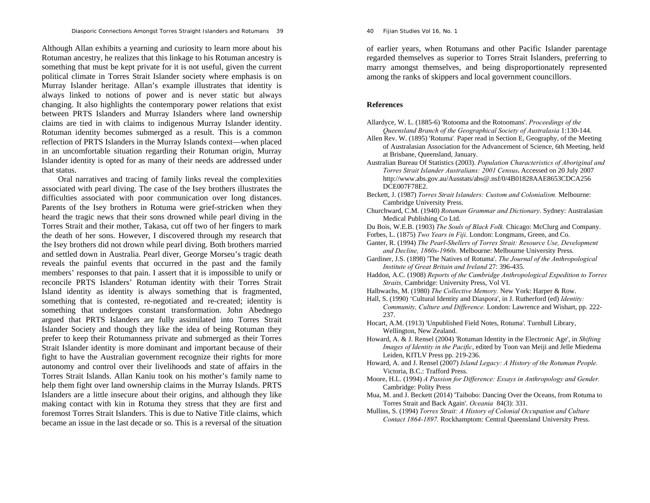*Diasporic Connections Amongst Torres Straight Islanders and Rotumans* 39

Although Allan exhibits a yearning and curiosity to learn more about his Rotuman ancestry, he realizes that this linkage to his Rotuman ancestry is something that must be kept private for it is not useful, given the current political climate in Torres Strait Islander society where emphasis is on Murray Islander heritage. Allan's example illustrates that identity is always linked to notions of power and is never static but always changing. It also highlights the contemporary power relations that exist between PRTS Islanders and Murray Islanders where land ownership claims are tied in with claims to indigenous Murray Islander identity. Rotuman identity becomes submerged as a result. This is a common reflection of PRTS Islanders in the Murray Islands context—when placed in an uncomfortable situation regarding their Rotuman origin, Murray Islander identity is opted for as many of their needs are addressed under that status.

Oral narratives and tracing of family links reveal the complexities associated with pearl diving. The case of the Isey brothers illustrates the difficulties associated with poor communication over long distances. Parents of the Isey brothers in Rotuma were grief-stricken when they heard the tragic news that their sons drowned while pearl diving in the Torres Strait and their mother, Takasa, cut off two of her fingers to mark the death of her sons. However, I discovered through my research that the Isey brothers did not drown while pearl diving. Both brothers married and settled down in Australia. Pearl diver, George Morseu's tragic death reveals the painful events that occurred in the past and the family members' responses to that pain. I assert that it is impossible to unify or reconcile PRTS Islanders' Rotuman identity with their Torres Strait Island identity as identity is always something that is fragmented, something that is contested, re-negotiated and re-created; identity is something that undergoes constant transformation. John Abednego argued that PRTS Islanders are fully assimilated into Torres Strait Islander Society and though they like the idea of being Rotuman they prefer to keep their Rotumanness private and submerged as their Torres Strait Islander identity is more dominant and important because of their fight to have the Australian government recognize their rights for more autonomy and control over their livelihoods and state of affairs in the Torres Strait Islands. Allan Kaniu took on his mother's family name to help them fight over land ownership claims in the Murray Islands. PRTS Islanders are a little insecure about their origins, and although they like making contact with kin in Rotuma they stress that they are first and foremost Torres Strait Islanders. This is due to Native Title claims, which became an issue in the last decade or so. This is a reversal of the situation 40 *Fijian Studies Vol 16, No. 1* 

of earlier years, when Rotumans and other Pacific Islander parentage regarded themselves as superior to Torres Strait Islanders, preferring to marry amongst themselves, and being disproportionately represented among the ranks of skippers and local government councillors.

## **References**

Allardyce, W. L. (1885-6) 'Rotooma and the Rotoomans'. *Proceedings of the Queensland Branch of the Geographical Society of Australasia* 1:130-144.

Allen Rev. W. (1895) 'Rotuma'*.* Paper read in Section E, Geography, of the Meeting of Australasian Association for the Advancement of Science, 6th Meeting, held at Brisbane, Queensland, January.

- Australian Bureau Of Statistics (2003). *Population Characteristics of Aboriginal and Torres Strait Islander Australians: 2001 Census***.** Accessed on 20 July 2007 http://www.abs.gov.au/Ausstats/abs@.nsf/0/4B01828AAE8653CDCA256 DCE007F78E2.
- Beckett, J. (1987) *Torres Strait Islanders: Custom and Colonialism.* Melbourne: Cambridge University Press.

Churchward, C.M. (1940) *Rotuman Grammar and Dictionary*. Sydney: Australasian Medical Publishing Co Ltd.

Du Bois, W.E.B. (1903) *The Souls of Black Folk.* Chicago: McClurg and Company.

- Forbes, L. (1875) *Two Years in Fiji*. London: Longmans, Green, and Co.
- Ganter, R. (1994) *The Pearl-Shellers of Torres Strait: Resource Use, Development and Decline, 1860s-1960s.* Melbourne: Melbourne University Press.
- Gardiner, J.S. (1898) 'The Natives of Rotuma'. *The Journal of the Anthropological Institute of Great Britain and Ireland* 27: 396-435.

Haddon, A.C. (1908) *Reports of the Cambridge Anthropological Expedition to Torres Straits,* Cambridge: University Press, Vol VI.

Halbwachs, M. (1980) *The Collective Memory.* New York: Harper & Row.

Hall, S. (1990) 'Cultural Identity and Diaspora', in J. Rutherford (ed) *Identity: Community, Culture and Difference.* London: Lawrence and Wishart, pp. 222- 237.

Hocart, A.M. (1913) 'Unpublished Field Notes, Rotuma'. Turnbull Library, Wellington, New Zealand.

- Howard, A. & J. Rensel (2004) 'Rotuman Identity in the Electronic Age', in *Shifting Images of Identity in the Pacific*, edited by Toon van Meiji and Jelle Miedema Leiden, KITLV Press pp. 219-236.
- Howard, A. and J. Rensel (2007) *Island Legacy: A History of the Rotuman People.*  Victoria, B.C.: Trafford Press.
- Moore, H.L. (1994) *A Passion for Difference: Essays in Anthropology and Gender.* Cambridge: Polity Press
- Mua, M. and J. Beckett (2014) 'Taibobo: Dancing Over the Oceans, from Rotuma to Torres Strait and Back Again'. *Oceania* 84(3): 331.
- Mullins, S. (1994) *Torres Strait: A History of Colonial Occupation and Culture Contact 1864-1897.* Rockhamptom: Central Queensland University Press.